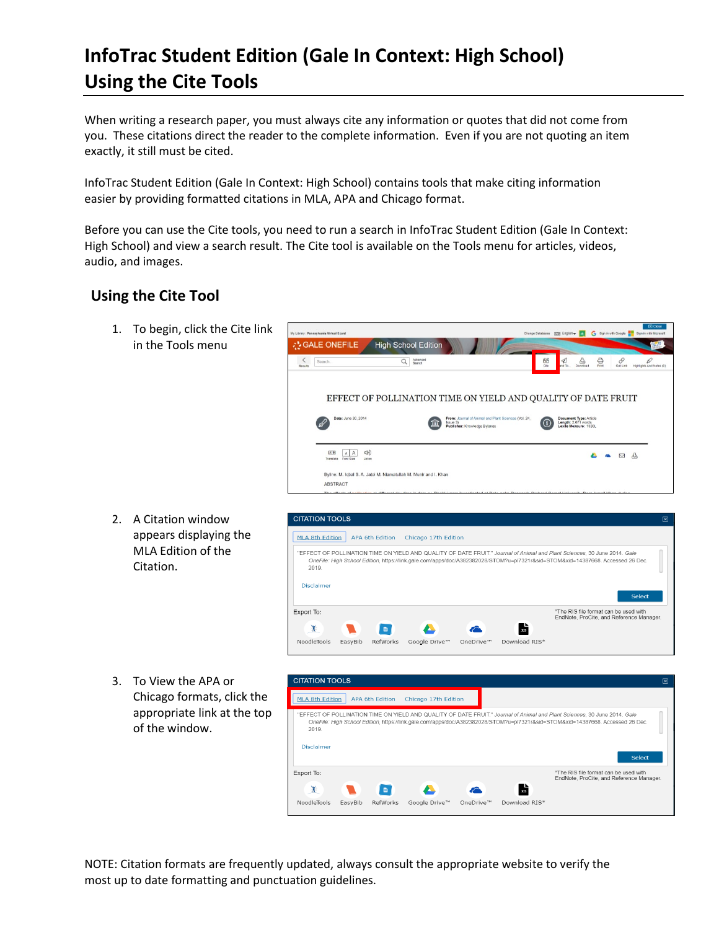## **InfoTrac Student Edition (Gale In Context: High School) Using the Cite Tools**

When writing a research paper, you must always cite any information or quotes that did not come from you. These citations direct the reader to the complete information. Even if you are not quoting an item exactly, it still must be cited.

InfoTrac Student Edition (Gale In Context: High School) contains tools that make citing information easier by providing formatted citations in MLA, APA and Chicago format.

Before you can use the Cite tools, you need to run a search in InfoTrac Student Edition (Gale In Context: High School) and view a search result. The Cite tool is available on the Tools menu for articles, videos, audio, and images.

## **Using the Cite Tool**

1. To begin, click the Cite link in the Tools menu



2. A Citation window appears displaying the MLA Edition of the Citation.



3. To View the APA or Chicago formats, click the appropriate link at the top of the window.



NOTE: Citation formats are frequently updated, always consult the appropriate website to verify the most up to date formatting and punctuation guidelines.